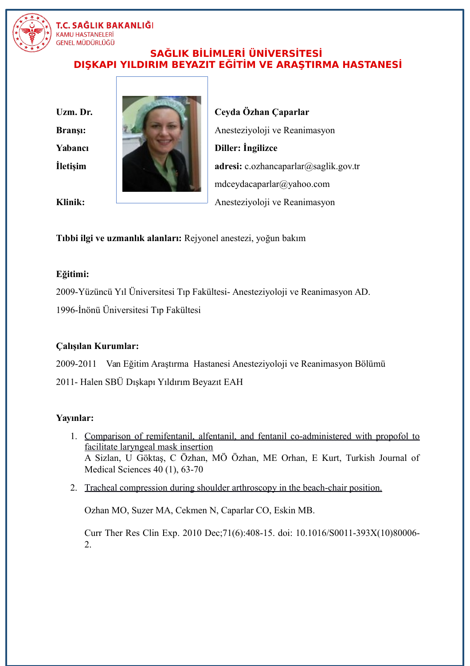

# T.C. SAĞLIK BAKANLIĞI KAMU HASTANELER<mark>İ</mark><br>GENEL MÜDÜRLÜĞÜ

## **SAĞLIK BİLİMLERİ ÜNİVERSİTESİ DIŞKAPI YILDIRIM BEYAZIT EĞİTİM VE ARAŞTIRMA HASTANESİ**



**Bransı: Anesteziyoloji ve Reanimasyon İletişim adresi:** c.ozhancaparlar@saglik.gov.tr mdceydacaparlar@yahoo.com **Klinik:** Anesteziyoloji ve Reanimasyon

**Tıbbi ilgi ve uzmanlık alanları:** Rejyonel anestezi, yoğun bakım

#### **Eğitimi:**

2009-Yüzüncü Yıl Üniversitesi Tıp Fakültesi- Anesteziyoloji ve Reanimasyon AD.

1996-İnönü Üniversitesi Tıp Fakültesi

## **Çalışılan Kurumlar:**

2009-2011 Van Eğitim Araştırma Hastanesi Anesteziyoloji ve Reanimasyon Bölümü

2011- Halen SBÜ Dışkapı Yıldırım Beyazıt EAH

#### **Yayınlar:**

- 1. [Comparison of remifentanil, alfentanil, and fentanil co-administered with propofol to](javascript:void(0)) [facilitate laryngeal mask insertion](javascript:void(0)) A Sizlan, U Göktaş, C Özhan, MÖ Özhan, ME Orhan, E Kurt, Turkish Journal of Medical Sciences 40 (1), 63-70
- 2. [Tracheal compression during shoulder arthroscopy in the beach-chair position.](https://www.ncbi.nlm.nih.gov/pubmed/24688159)

Ozhan MO, Suzer MA, Cekmen N, Caparlar CO, Eskin MB.

Curr Ther Res Clin Exp. 2010 Dec;71(6):408-15. doi: 10.1016/S0011-393X(10)80006- 2.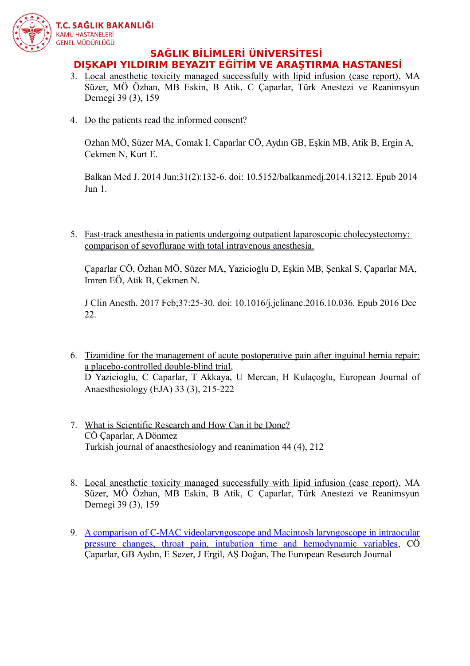

### **SAĞLIK BİLİMLERİ ÜNİVERSİTESİ DIŞKAPI YILDIRIM BEYAZIT EĞİTİM VE ARAŞTIRMA HASTANESİ**

- 3. [Local anesthetic toxicity managed successfully with lipid infusion \(case report\),](javascript:void(0)) MA Süzer, MÖ Özhan, MB Eskin, B Atik, C Çaparlar, Türk Anestezi ve Reanimsyun Dernegi 39 (3), 159
- 4. [Do the patients read the informed consent?](https://www.ncbi.nlm.nih.gov/pubmed/25207184)

Ozhan MÖ, Süzer MA, Comak I, Caparlar CÖ, Aydın GB, Eşkin MB, Atik B, Ergin A, Cekmen N, Kurt E.

Balkan Med J. 2014 Jun;31(2):132-6. doi: 10.5152/balkanmedj.2014.13212. Epub 2014 Jun 1.

5. [Fast-track anesthesia in patients undergoing outpatient laparoscopic cholecystectomy:](https://www.ncbi.nlm.nih.gov/pubmed/28235523)  [comparison of sevoflurane with total intravenous anesthesia.](https://www.ncbi.nlm.nih.gov/pubmed/28235523)

Çaparlar CÖ, Özhan MÖ, Süzer MA, Yazicioğlu D, Eşkin MB, Şenkal S, Çaparlar MA, Imren EÖ, Atik B, Çekmen N.

J Clin Anesth. 2017 Feb;37:25-30. doi: 10.1016/j.jclinane.2016.10.036. Epub 2016 Dec 22.

- 6. [Tizanidine for the management of acute postoperative pain after inguinal hernia repair:](javascript:void(0)) [a placebo-controlled double-blind trial,](javascript:void(0)) D Yazicioglu, C Caparlar, T Akkaya, U Mercan, H Kulaçoglu, European Journal of Anaesthesiology (EJA) 33 (3), 215-222
- 7. [What is Scientific Research and How Can it be Done?](javascript:void(0)) CÖ Çaparlar, A Dönmez Turkish journal of anaesthesiology and reanimation 44 (4), 212
- 8. [Local anesthetic toxicity managed successfully with lipid infusion \(case report\),](javascript:void(0)) MA Süzer, MÖ Özhan, MB Eskin, B Atik, C Çaparlar, Türk Anestezi ve Reanimsyun Dernegi 39 (3), 159
- 9. [A comparison of C-MAC videolaryngoscope and Macintosh laryngoscope in intraocular](javascript:void(0)) [pressure changes, throat pain, intubation time and hemodynamic variables,](javascript:void(0)) CÖ Çaparlar, GB Aydın, E Sezer, J Ergil, AŞ Doğan, The European Research Journal